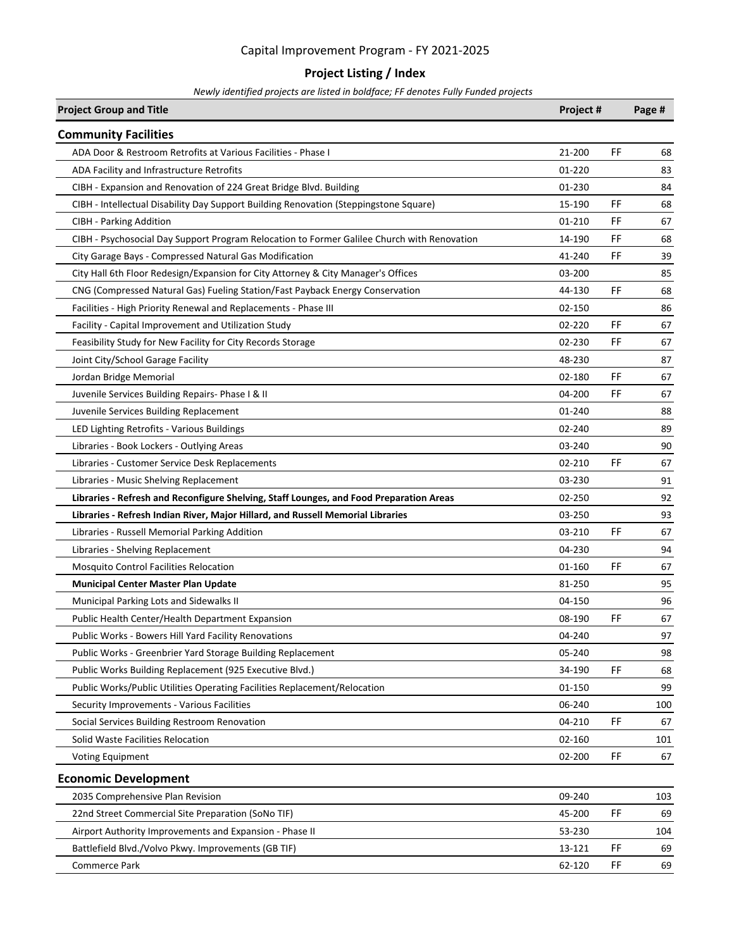### **Project Listing / Index**

| <b>Project Group and Title</b>                                                              | Project # |           | Page # |
|---------------------------------------------------------------------------------------------|-----------|-----------|--------|
| <b>Community Facilities</b>                                                                 |           |           |        |
| ADA Door & Restroom Retrofits at Various Facilities - Phase I                               | 21-200    | FF        | 68     |
| ADA Facility and Infrastructure Retrofits                                                   | 01-220    |           | 83     |
| CIBH - Expansion and Renovation of 224 Great Bridge Blvd. Building                          | 01-230    |           | 84     |
| CIBH - Intellectual Disability Day Support Building Renovation (Steppingstone Square)       | 15-190    | FF        | 68     |
| <b>CIBH - Parking Addition</b>                                                              | 01-210    | FF        | 67     |
| CIBH - Psychosocial Day Support Program Relocation to Former Galilee Church with Renovation | 14-190    | FF        | 68     |
| City Garage Bays - Compressed Natural Gas Modification                                      | 41-240    | FF        | 39     |
| City Hall 6th Floor Redesign/Expansion for City Attorney & City Manager's Offices           | 03-200    |           | 85     |
| CNG (Compressed Natural Gas) Fueling Station/Fast Payback Energy Conservation               | 44-130    | FF        | 68     |
| Facilities - High Priority Renewal and Replacements - Phase III                             | 02-150    |           | 86     |
| Facility - Capital Improvement and Utilization Study                                        | 02-220    | FF        | 67     |
| Feasibility Study for New Facility for City Records Storage                                 | 02-230    | FF        | 67     |
| Joint City/School Garage Facility                                                           | 48-230    |           | 87     |
| Jordan Bridge Memorial                                                                      | 02-180    | FF        | 67     |
| Juvenile Services Building Repairs- Phase I & II                                            | 04-200    | FF        | 67     |
| Juvenile Services Building Replacement                                                      | 01-240    |           | 88     |
| LED Lighting Retrofits - Various Buildings                                                  | 02-240    |           | 89     |
| Libraries - Book Lockers - Outlying Areas                                                   | 03-240    |           | 90     |
| Libraries - Customer Service Desk Replacements                                              | 02-210    | <b>FF</b> | 67     |
| Libraries - Music Shelving Replacement                                                      | 03-230    |           | 91     |
| Libraries - Refresh and Reconfigure Shelving, Staff Lounges, and Food Preparation Areas     | 02-250    |           | 92     |
| Libraries - Refresh Indian River, Major Hillard, and Russell Memorial Libraries             | 03-250    |           | 93     |
| Libraries - Russell Memorial Parking Addition                                               | 03-210    | FF        | 67     |
| Libraries - Shelving Replacement                                                            | 04-230    |           | 94     |
| <b>Mosquito Control Facilities Relocation</b>                                               | 01-160    | FF        | 67     |
| <b>Municipal Center Master Plan Update</b>                                                  | 81-250    |           | 95     |
| Municipal Parking Lots and Sidewalks II                                                     | 04-150    |           | 96     |
| Public Health Center/Health Department Expansion                                            | 08-190    | FF        | 67     |
| Public Works - Bowers Hill Yard Facility Renovations                                        | 04-240    |           | 97     |
| Public Works - Greenbrier Yard Storage Building Replacement                                 | 05-240    |           | 98     |
| Public Works Building Replacement (925 Executive Blvd.)                                     | 34-190    | FF        | 68     |
| Public Works/Public Utilities Operating Facilities Replacement/Relocation                   | 01-150    |           | 99     |
| Security Improvements - Various Facilities                                                  | 06-240    |           | 100    |
| Social Services Building Restroom Renovation                                                | 04-210    | FF        | 67     |
| Solid Waste Facilities Relocation                                                           | 02-160    |           | 101    |
| <b>Voting Equipment</b>                                                                     | 02-200    | FF        | 67     |
| <b>Economic Development</b>                                                                 |           |           |        |
| 2035 Comprehensive Plan Revision                                                            | 09-240    |           | 103    |
| 22nd Street Commercial Site Preparation (SoNo TIF)                                          | 45-200    | FF        | 69     |
| Airport Authority Improvements and Expansion - Phase II                                     | 53-230    |           | 104    |
| Battlefield Blvd./Volvo Pkwy. Improvements (GB TIF)                                         | 13-121    | FF        | 69     |
| Commerce Park                                                                               | 62-120    | FF        | 69     |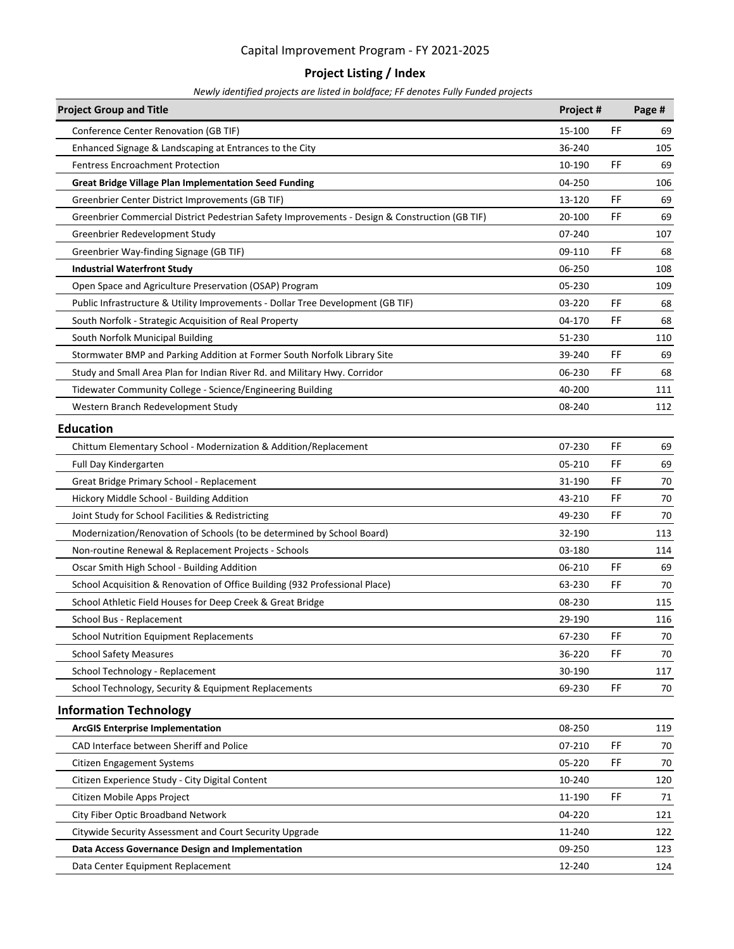### **Project Listing / Index**

| <b>Project Group and Title</b>                                                                 | Project # |    | Page # |
|------------------------------------------------------------------------------------------------|-----------|----|--------|
| Conference Center Renovation (GB TIF)                                                          | 15-100    | FF | 69     |
| Enhanced Signage & Landscaping at Entrances to the City                                        | 36-240    |    | 105    |
| <b>Fentress Encroachment Protection</b>                                                        | 10-190    | FF | 69     |
| <b>Great Bridge Village Plan Implementation Seed Funding</b>                                   | 04-250    |    | 106    |
| Greenbrier Center District Improvements (GB TIF)                                               | 13-120    | FF | 69     |
| Greenbrier Commercial District Pedestrian Safety Improvements - Design & Construction (GB TIF) | 20-100    | FF | 69     |
| Greenbrier Redevelopment Study                                                                 | 07-240    |    | 107    |
| Greenbrier Way-finding Signage (GB TIF)                                                        | 09-110    | FF | 68     |
| <b>Industrial Waterfront Study</b>                                                             | 06-250    |    | 108    |
| Open Space and Agriculture Preservation (OSAP) Program                                         | 05-230    |    | 109    |
| Public Infrastructure & Utility Improvements - Dollar Tree Development (GB TIF)                | 03-220    | FF | 68     |
| South Norfolk - Strategic Acquisition of Real Property                                         | 04-170    | FF | 68     |
| South Norfolk Municipal Building                                                               | 51-230    |    | 110    |
| Stormwater BMP and Parking Addition at Former South Norfolk Library Site                       | 39-240    | FF | 69     |
| Study and Small Area Plan for Indian River Rd. and Military Hwy. Corridor                      | 06-230    | FF | 68     |
| Tidewater Community College - Science/Engineering Building                                     | 40-200    |    | 111    |
| Western Branch Redevelopment Study                                                             | 08-240    |    | 112    |
| <b>Education</b>                                                                               |           |    |        |
| Chittum Elementary School - Modernization & Addition/Replacement                               | 07-230    | FF | 69     |
| Full Day Kindergarten                                                                          | 05-210    | FF | 69     |
| Great Bridge Primary School - Replacement                                                      | 31-190    | FF | 70     |
| Hickory Middle School - Building Addition                                                      | 43-210    | FF | 70     |
| Joint Study for School Facilities & Redistricting                                              | 49-230    | FF | 70     |
| Modernization/Renovation of Schools (to be determined by School Board)                         | 32-190    |    | 113    |
| Non-routine Renewal & Replacement Projects - Schools                                           | 03-180    |    | 114    |
| Oscar Smith High School - Building Addition                                                    | 06-210    | FF | 69     |
| School Acquisition & Renovation of Office Building (932 Professional Place)                    | 63-230    | FF | 70     |
| School Athletic Field Houses for Deep Creek & Great Bridge                                     | 08-230    |    | 115    |
| School Bus - Replacement                                                                       | 29-190    |    | 116    |
| School Nutrition Equipment Replacements                                                        | 67-230    | FF | 70     |
| <b>School Safety Measures</b>                                                                  | 36-220    | FF | 70     |
| School Technology - Replacement                                                                | 30-190    |    | 117    |
| School Technology, Security & Equipment Replacements                                           | 69-230    | FF | 70     |
| <b>Information Technology</b>                                                                  |           |    |        |
| <b>ArcGIS Enterprise Implementation</b>                                                        | 08-250    |    | 119    |
| CAD Interface between Sheriff and Police                                                       | 07-210    | FF | 70     |
| <b>Citizen Engagement Systems</b>                                                              | 05-220    | FF | 70     |
| Citizen Experience Study - City Digital Content                                                | 10-240    |    | 120    |
| Citizen Mobile Apps Project                                                                    | 11-190    | FF | 71     |
| City Fiber Optic Broadband Network                                                             | 04-220    |    | 121    |
| Citywide Security Assessment and Court Security Upgrade                                        | 11-240    |    | 122    |
| Data Access Governance Design and Implementation                                               | 09-250    |    | 123    |
| Data Center Equipment Replacement                                                              | 12-240    |    | 124    |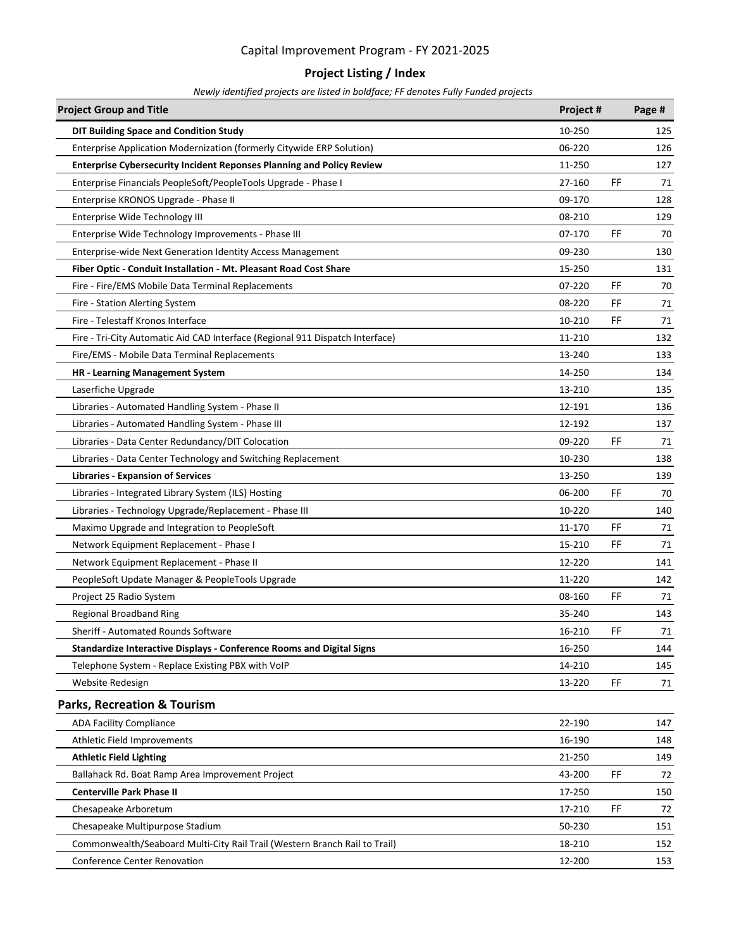### **Project Listing / Index**

| <b>Project Group and Title</b>                                                | Project #    | Page #   |
|-------------------------------------------------------------------------------|--------------|----------|
| <b>DIT Building Space and Condition Study</b>                                 | 10-250       | 125      |
| Enterprise Application Modernization (formerly Citywide ERP Solution)         | 06-220       | 126      |
| <b>Enterprise Cybersecurity Incident Reponses Planning and Policy Review</b>  | 11-250       | 127      |
| Enterprise Financials PeopleSoft/PeopleTools Upgrade - Phase I                | FF<br>27-160 | 71       |
| Enterprise KRONOS Upgrade - Phase II                                          | 09-170       | 128      |
| Enterprise Wide Technology III                                                | 08-210       | 129      |
| Enterprise Wide Technology Improvements - Phase III                           | FF<br>07-170 | 70       |
| Enterprise-wide Next Generation Identity Access Management                    | 09-230       | 130      |
| Fiber Optic - Conduit Installation - Mt. Pleasant Road Cost Share             | 15-250       | 131      |
| Fire - Fire/EMS Mobile Data Terminal Replacements                             | FF<br>07-220 | 70       |
| Fire - Station Alerting System                                                | FF<br>08-220 | 71       |
| Fire - Telestaff Kronos Interface                                             | 10-210       | FF<br>71 |
| Fire - Tri-City Automatic Aid CAD Interface (Regional 911 Dispatch Interface) | 11-210       | 132      |
| Fire/EMS - Mobile Data Terminal Replacements                                  | 13-240       | 133      |
| <b>HR - Learning Management System</b>                                        | 14-250       | 134      |
| Laserfiche Upgrade                                                            | 13-210       | 135      |
| Libraries - Automated Handling System - Phase II                              | 12-191       | 136      |
| Libraries - Automated Handling System - Phase III                             | 12-192       | 137      |
| Libraries - Data Center Redundancy/DIT Colocation                             | 09-220<br>FF | 71       |
| Libraries - Data Center Technology and Switching Replacement                  | 10-230       | 138      |
| <b>Libraries - Expansion of Services</b>                                      | 13-250       | 139      |
| Libraries - Integrated Library System (ILS) Hosting                           | FF<br>06-200 | 70       |
| Libraries - Technology Upgrade/Replacement - Phase III                        | 10-220       | 140      |
| Maximo Upgrade and Integration to PeopleSoft                                  | FF<br>11-170 | 71       |
| Network Equipment Replacement - Phase I                                       | FF<br>15-210 | 71       |
| Network Equipment Replacement - Phase II                                      | 12-220       | 141      |
| PeopleSoft Update Manager & PeopleTools Upgrade                               | 11-220       | 142      |
| Project 25 Radio System                                                       | FF<br>08-160 | 71       |
| <b>Regional Broadband Ring</b>                                                | 35-240       | 143      |
| Sheriff - Automated Rounds Software                                           | FF<br>16-210 | 71       |
| Standardize Interactive Displays - Conference Rooms and Digital Signs         | 16-250       | 144      |
| Telephone System - Replace Existing PBX with VoIP                             | 14-210       | 145      |
| Website Redesign                                                              | FF<br>13-220 | 71       |
| <b>Parks, Recreation &amp; Tourism</b>                                        |              |          |
| <b>ADA Facility Compliance</b>                                                | 22-190       | 147      |
| Athletic Field Improvements                                                   | 16-190       | 148      |
| <b>Athletic Field Lighting</b>                                                | 21-250       | 149      |
| Ballahack Rd. Boat Ramp Area Improvement Project                              | FF<br>43-200 | 72       |
| <b>Centerville Park Phase II</b>                                              | 17-250       | 150      |
| Chesapeake Arboretum                                                          | 17-210       | FF<br>72 |
| Chesapeake Multipurpose Stadium                                               | 50-230       | 151      |
| Commonwealth/Seaboard Multi-City Rail Trail (Western Branch Rail to Trail)    | 18-210       | 152      |
| <b>Conference Center Renovation</b>                                           | 12-200       | 153      |
|                                                                               |              |          |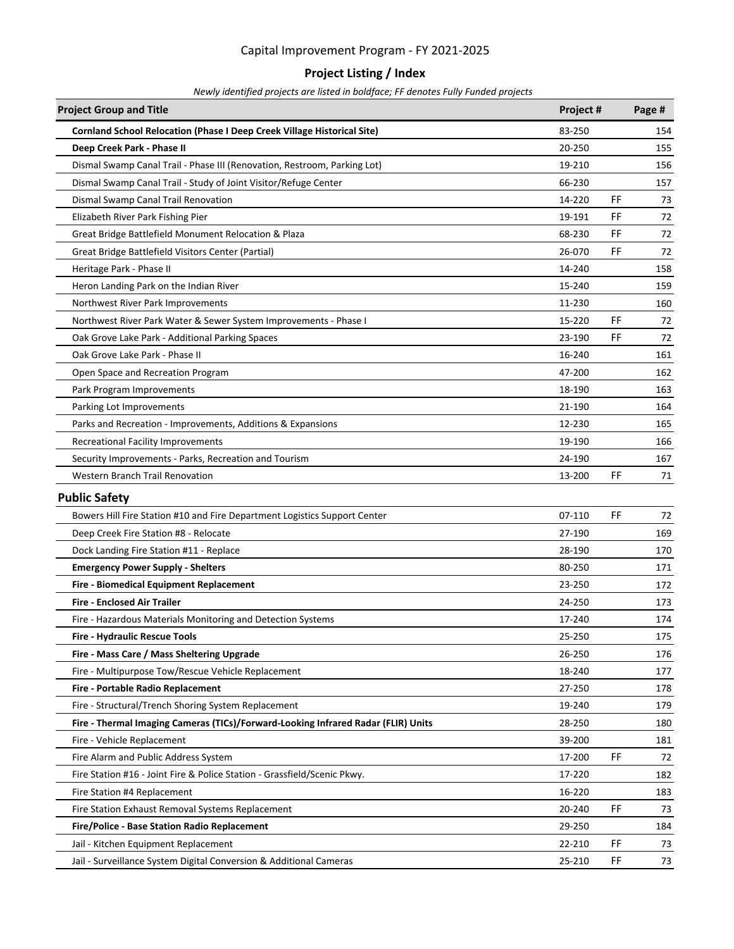### **Project Listing / Index**

| <b>Project Group and Title</b>                                                    | Project # |    | Page # |
|-----------------------------------------------------------------------------------|-----------|----|--------|
| Cornland School Relocation (Phase I Deep Creek Village Historical Site)           | 83-250    |    | 154    |
| Deep Creek Park - Phase II                                                        | 20-250    |    | 155    |
| Dismal Swamp Canal Trail - Phase III (Renovation, Restroom, Parking Lot)          | 19-210    |    | 156    |
| Dismal Swamp Canal Trail - Study of Joint Visitor/Refuge Center                   | 66-230    |    | 157    |
| Dismal Swamp Canal Trail Renovation                                               | 14-220    | FF | 73     |
| Elizabeth River Park Fishing Pier                                                 | 19-191    | FF | 72     |
| Great Bridge Battlefield Monument Relocation & Plaza                              | 68-230    | FF | 72     |
| Great Bridge Battlefield Visitors Center (Partial)                                | 26-070    | FF | 72     |
| Heritage Park - Phase II                                                          | 14-240    |    | 158    |
| Heron Landing Park on the Indian River                                            | 15-240    |    | 159    |
| Northwest River Park Improvements                                                 | 11-230    |    | 160    |
| Northwest River Park Water & Sewer System Improvements - Phase I                  | 15-220    | FF | 72     |
| Oak Grove Lake Park - Additional Parking Spaces                                   | 23-190    | FF | 72     |
| Oak Grove Lake Park - Phase II                                                    | 16-240    |    | 161    |
| Open Space and Recreation Program                                                 | 47-200    |    | 162    |
| Park Program Improvements                                                         | 18-190    |    | 163    |
| Parking Lot Improvements                                                          | 21-190    |    | 164    |
| Parks and Recreation - Improvements, Additions & Expansions                       | 12-230    |    | 165    |
| <b>Recreational Facility Improvements</b>                                         | 19-190    |    | 166    |
| Security Improvements - Parks, Recreation and Tourism                             | 24-190    |    | 167    |
| <b>Western Branch Trail Renovation</b>                                            | 13-200    | FF | 71     |
| <b>Public Safety</b>                                                              |           |    |        |
| Bowers Hill Fire Station #10 and Fire Department Logistics Support Center         | 07-110    | FF | 72     |
| Deep Creek Fire Station #8 - Relocate                                             | 27-190    |    | 169    |
| Dock Landing Fire Station #11 - Replace                                           | 28-190    |    | 170    |
| <b>Emergency Power Supply - Shelters</b>                                          | 80-250    |    | 171    |
| Fire - Biomedical Equipment Replacement                                           | 23-250    |    | 172    |
| <b>Fire - Enclosed Air Trailer</b>                                                | 24-250    |    | 173    |
| Fire - Hazardous Materials Monitoring and Detection Systems                       | 17-240    |    | 174    |
| Fire - Hydraulic Rescue Tools                                                     | 25-250    |    | 175    |
| Fire - Mass Care / Mass Sheltering Upgrade                                        | 26-250    |    | 176    |
| Fire - Multipurpose Tow/Rescue Vehicle Replacement                                | 18-240    |    | 177    |
| Fire - Portable Radio Replacement                                                 | 27-250    |    | 178    |
| Fire - Structural/Trench Shoring System Replacement                               | 19-240    |    | 179    |
| Fire - Thermal Imaging Cameras (TICs)/Forward-Looking Infrared Radar (FLIR) Units | 28-250    |    | 180    |
| Fire - Vehicle Replacement                                                        | 39-200    |    | 181    |
| Fire Alarm and Public Address System                                              | 17-200    | FF | 72     |
| Fire Station #16 - Joint Fire & Police Station - Grassfield/Scenic Pkwy.          | 17-220    |    | 182    |
| Fire Station #4 Replacement                                                       | 16-220    |    | 183    |
| Fire Station Exhaust Removal Systems Replacement                                  | 20-240    | FF | 73     |
| Fire/Police - Base Station Radio Replacement                                      | 29-250    |    | 184    |
| Jail - Kitchen Equipment Replacement                                              | 22-210    | FF | 73     |
| Jail - Surveillance System Digital Conversion & Additional Cameras                | 25-210    | FF | 73     |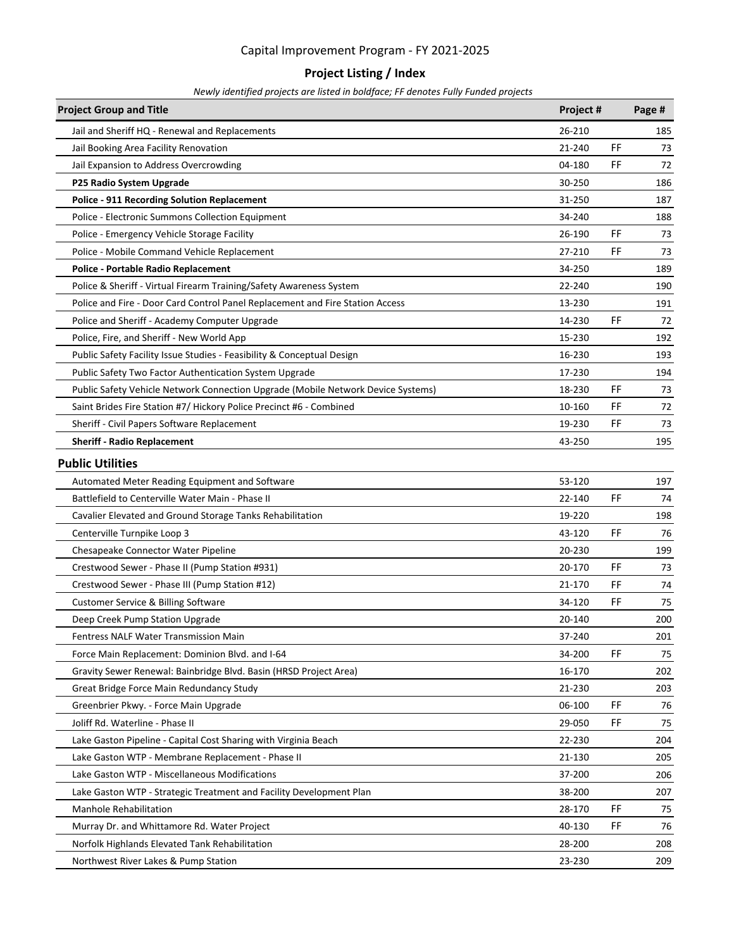### **Project Listing / Index**

| <b>Project Group and Title</b>                                                   | Project # |    | Page # |
|----------------------------------------------------------------------------------|-----------|----|--------|
| Jail and Sheriff HQ - Renewal and Replacements                                   | 26-210    |    | 185    |
| Jail Booking Area Facility Renovation                                            | 21-240    | FF | 73     |
| Jail Expansion to Address Overcrowding                                           | 04-180    | FF | 72     |
| P25 Radio System Upgrade                                                         | 30-250    |    | 186    |
| <b>Police - 911 Recording Solution Replacement</b>                               | 31-250    |    | 187    |
| Police - Electronic Summons Collection Equipment                                 | 34-240    |    | 188    |
| Police - Emergency Vehicle Storage Facility                                      | 26-190    | FF | 73     |
| Police - Mobile Command Vehicle Replacement                                      | 27-210    | FF | 73     |
| <b>Police - Portable Radio Replacement</b>                                       | 34-250    |    | 189    |
| Police & Sheriff - Virtual Firearm Training/Safety Awareness System              | 22-240    |    | 190    |
| Police and Fire - Door Card Control Panel Replacement and Fire Station Access    | 13-230    |    | 191    |
| Police and Sheriff - Academy Computer Upgrade                                    | 14-230    | FF | 72     |
| Police, Fire, and Sheriff - New World App                                        | 15-230    |    | 192    |
| Public Safety Facility Issue Studies - Feasibility & Conceptual Design           | 16-230    |    | 193    |
| Public Safety Two Factor Authentication System Upgrade                           | 17-230    |    | 194    |
| Public Safety Vehicle Network Connection Upgrade (Mobile Network Device Systems) | 18-230    | FF | 73     |
| Saint Brides Fire Station #7/ Hickory Police Precinct #6 - Combined              | 10-160    | FF | 72     |
| Sheriff - Civil Papers Software Replacement                                      | 19-230    | FF | 73     |
| <b>Sheriff - Radio Replacement</b>                                               | 43-250    |    | 195    |
| <b>Public Utilities</b>                                                          |           |    |        |
| Automated Meter Reading Equipment and Software                                   | 53-120    |    | 197    |
| Battlefield to Centerville Water Main - Phase II                                 | 22-140    | FF | 74     |
| Cavalier Elevated and Ground Storage Tanks Rehabilitation                        | 19-220    |    | 198    |
| Centerville Turnpike Loop 3                                                      | 43-120    | FF | 76     |
| Chesapeake Connector Water Pipeline                                              | 20-230    |    | 199    |
| Crestwood Sewer - Phase II (Pump Station #931)                                   | 20-170    | FF | 73     |
| Crestwood Sewer - Phase III (Pump Station #12)                                   | 21-170    | FF | 74     |
| <b>Customer Service &amp; Billing Software</b>                                   | 34-120    | FF | 75     |
| Deep Creek Pump Station Upgrade                                                  | 20-140    |    | 200    |
| Fentress NALF Water Transmission Main                                            | 37-240    |    | 201    |
| Force Main Replacement: Dominion Blvd. and I-64                                  | 34-200    | FF | 75     |
| Gravity Sewer Renewal: Bainbridge Blvd. Basin (HRSD Project Area)                | 16-170    |    | 202    |
| Great Bridge Force Main Redundancy Study                                         | 21-230    |    | 203    |
| Greenbrier Pkwy. - Force Main Upgrade                                            | 06-100    | FF | 76     |
| Joliff Rd. Waterline - Phase II                                                  | 29-050    | FF | 75     |
| Lake Gaston Pipeline - Capital Cost Sharing with Virginia Beach                  | 22-230    |    | 204    |
| Lake Gaston WTP - Membrane Replacement - Phase II                                | 21-130    |    | 205    |
| Lake Gaston WTP - Miscellaneous Modifications                                    | 37-200    |    | 206    |
| Lake Gaston WTP - Strategic Treatment and Facility Development Plan              | 38-200    |    | 207    |
| <b>Manhole Rehabilitation</b>                                                    | 28-170    | FF | 75     |
| Murray Dr. and Whittamore Rd. Water Project                                      | 40-130    | FF | 76     |
| Norfolk Highlands Elevated Tank Rehabilitation                                   | 28-200    |    | 208    |
| Northwest River Lakes & Pump Station                                             | 23-230    |    | 209    |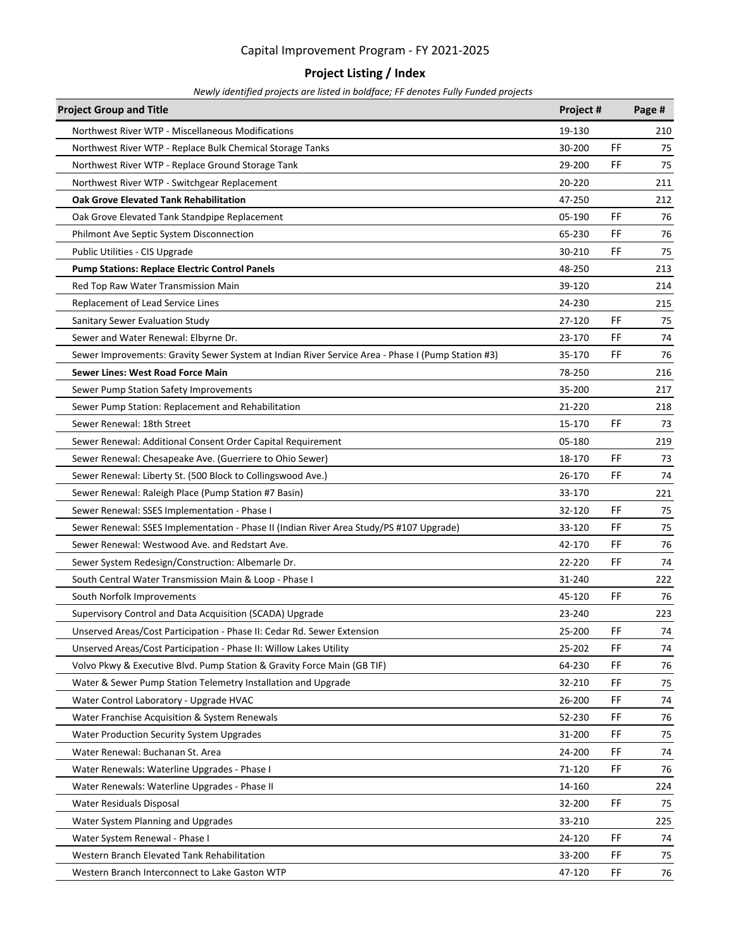### **Project Listing / Index**

| <b>Project Group and Title</b>                                                                    | Project # |     | Page # |
|---------------------------------------------------------------------------------------------------|-----------|-----|--------|
| Northwest River WTP - Miscellaneous Modifications                                                 | 19-130    |     | 210    |
| Northwest River WTP - Replace Bulk Chemical Storage Tanks                                         | 30-200    | FF  | 75     |
| Northwest River WTP - Replace Ground Storage Tank                                                 | 29-200    | FF  | 75     |
| Northwest River WTP - Switchgear Replacement                                                      | 20-220    |     | 211    |
| <b>Oak Grove Elevated Tank Rehabilitation</b>                                                     | 47-250    |     | 212    |
| Oak Grove Elevated Tank Standpipe Replacement                                                     | 05-190    | FF  | 76     |
| Philmont Ave Septic System Disconnection                                                          | 65-230    | FF  | 76     |
| Public Utilities - CIS Upgrade                                                                    | 30-210    | FF  | 75     |
| <b>Pump Stations: Replace Electric Control Panels</b>                                             | 48-250    |     | 213    |
| Red Top Raw Water Transmission Main                                                               | 39-120    |     | 214    |
| Replacement of Lead Service Lines                                                                 | 24-230    |     | 215    |
| Sanitary Sewer Evaluation Study                                                                   | 27-120    | FF  | 75     |
| Sewer and Water Renewal: Elbyrne Dr.                                                              | 23-170    | FF  | 74     |
| Sewer Improvements: Gravity Sewer System at Indian River Service Area - Phase I (Pump Station #3) | 35-170    | FF  | 76     |
| <b>Sewer Lines: West Road Force Main</b>                                                          | 78-250    |     | 216    |
| Sewer Pump Station Safety Improvements                                                            | 35-200    |     | 217    |
| Sewer Pump Station: Replacement and Rehabilitation                                                | 21-220    |     | 218    |
| Sewer Renewal: 18th Street                                                                        | 15-170    | FF  | 73     |
| Sewer Renewal: Additional Consent Order Capital Requirement                                       | 05-180    |     | 219    |
| Sewer Renewal: Chesapeake Ave. (Guerriere to Ohio Sewer)                                          | 18-170    | FF  | 73     |
| Sewer Renewal: Liberty St. (500 Block to Collingswood Ave.)                                       | 26-170    | FF  | 74     |
| Sewer Renewal: Raleigh Place (Pump Station #7 Basin)                                              | 33-170    |     | 221    |
| Sewer Renewal: SSES Implementation - Phase I                                                      | 32-120    | FF  | 75     |
| Sewer Renewal: SSES Implementation - Phase II (Indian River Area Study/PS #107 Upgrade)           | 33-120    | FF  | 75     |
| Sewer Renewal: Westwood Ave. and Redstart Ave.                                                    | 42-170    | FF  | 76     |
| Sewer System Redesign/Construction: Albemarle Dr.                                                 | 22-220    | FF  | 74     |
| South Central Water Transmission Main & Loop - Phase I                                            | 31-240    |     | 222    |
| South Norfolk Improvements                                                                        | 45-120    | FF  | 76     |
| Supervisory Control and Data Acquisition (SCADA) Upgrade                                          | 23-240    |     | 223    |
| Unserved Areas/Cost Participation - Phase II: Cedar Rd. Sewer Extension                           | 25-200    | FF  | 74     |
| Unserved Areas/Cost Participation - Phase II: Willow Lakes Utility                                | 25-202    | FF  | 74     |
| Volvo Pkwy & Executive Blvd. Pump Station & Gravity Force Main (GB TIF)                           | 64-230    | FF  | 76     |
| Water & Sewer Pump Station Telemetry Installation and Upgrade                                     | 32-210    | FF  | 75     |
| Water Control Laboratory - Upgrade HVAC                                                           | 26-200    | FF  | 74     |
| Water Franchise Acquisition & System Renewals                                                     | 52-230    | FF  | 76     |
| Water Production Security System Upgrades                                                         | 31-200    | FF  | 75     |
| Water Renewal: Buchanan St. Area                                                                  | 24-200    | FF  | 74     |
| Water Renewals: Waterline Upgrades - Phase I                                                      | 71-120    | FF  | 76     |
| Water Renewals: Waterline Upgrades - Phase II                                                     | 14-160    |     | 224    |
| Water Residuals Disposal                                                                          | 32-200    | FF  | 75     |
| Water System Planning and Upgrades                                                                | 33-210    |     | 225    |
| Water System Renewal - Phase I                                                                    | 24-120    | FF  | 74     |
| Western Branch Elevated Tank Rehabilitation                                                       | 33-200    | FF  | 75     |
| Western Branch Interconnect to Lake Gaston WTP                                                    | 47-120    | FF. | 76     |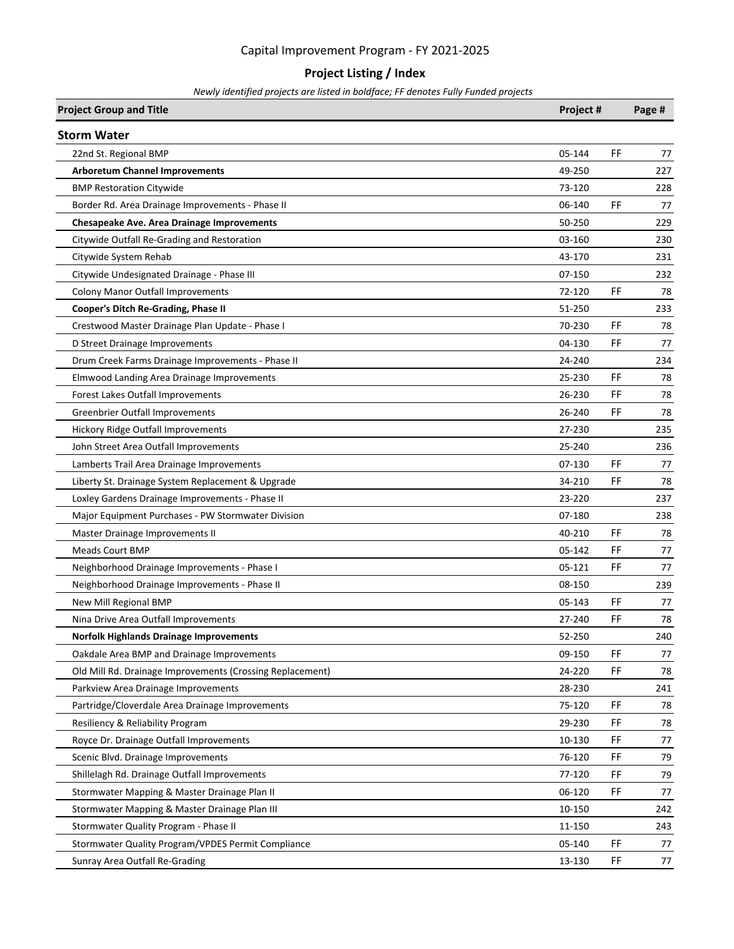### **Project Listing / Index**

| <b>Project Group and Title</b>                            | Project # | Page #    |
|-----------------------------------------------------------|-----------|-----------|
| <b>Storm Water</b>                                        |           |           |
| 22nd St. Regional BMP                                     | 05-144    | FF<br>77  |
| <b>Arboretum Channel Improvements</b>                     | 49-250    | 227       |
| <b>BMP Restoration Citywide</b>                           | 73-120    | 228       |
| Border Rd. Area Drainage Improvements - Phase II          | 06-140    | FF<br>77  |
| <b>Chesapeake Ave. Area Drainage Improvements</b>         | 50-250    | 229       |
| Citywide Outfall Re-Grading and Restoration               | 03-160    | 230       |
| Citywide System Rehab                                     | 43-170    | 231       |
| Citywide Undesignated Drainage - Phase III                | 07-150    | 232       |
| <b>Colony Manor Outfall Improvements</b>                  | 72-120    | FF<br>78  |
| Cooper's Ditch Re-Grading, Phase II                       | 51-250    | 233       |
| Crestwood Master Drainage Plan Update - Phase I           | 70-230    | FF<br>78  |
| D Street Drainage Improvements                            | 04-130    | FF<br>77  |
| Drum Creek Farms Drainage Improvements - Phase II         | 24-240    | 234       |
| Elmwood Landing Area Drainage Improvements                | 25-230    | FF<br>78  |
| <b>Forest Lakes Outfall Improvements</b>                  | 26-230    | FF<br>78  |
| <b>Greenbrier Outfall Improvements</b>                    | 26-240    | FF<br>78  |
| Hickory Ridge Outfall Improvements                        | 27-230    | 235       |
| John Street Area Outfall Improvements                     | 25-240    | 236       |
| Lamberts Trail Area Drainage Improvements                 | 07-130    | FF<br>77  |
| Liberty St. Drainage System Replacement & Upgrade         | 34-210    | FF<br>78  |
| Loxley Gardens Drainage Improvements - Phase II           | 23-220    | 237       |
| Major Equipment Purchases - PW Stormwater Division        | 07-180    | 238       |
| Master Drainage Improvements II                           | 40-210    | FF<br>78  |
| <b>Meads Court BMP</b>                                    | 05-142    | FF<br>77  |
| Neighborhood Drainage Improvements - Phase I              | 05-121    | FF<br>77  |
| Neighborhood Drainage Improvements - Phase II             | 08-150    | 239       |
| New Mill Regional BMP                                     | 05-143    | FF<br>77  |
| Nina Drive Area Outfall Improvements                      | 27-240    | FF<br>78  |
| <b>Norfolk Highlands Drainage Improvements</b>            | 52-250    | 240       |
| Oakdale Area BMP and Drainage Improvements                | 09-150    | FF<br>77  |
| Old Mill Rd. Drainage Improvements (Crossing Replacement) | 24-220    | FF<br>78  |
| Parkview Area Drainage Improvements                       | 28-230    | 241       |
| Partridge/Cloverdale Area Drainage Improvements           | 75-120    | FF<br>78  |
| Resiliency & Reliability Program                          | 29-230    | FF<br>78  |
| Royce Dr. Drainage Outfall Improvements                   | 10-130    | FF.<br>77 |
| Scenic Blvd. Drainage Improvements                        | 76-120    | FF<br>79  |
| Shillelagh Rd. Drainage Outfall Improvements              | 77-120    | FF<br>79  |
| Stormwater Mapping & Master Drainage Plan II              | 06-120    | FF<br>77  |
| Stormwater Mapping & Master Drainage Plan III             | 10-150    | 242       |
| Stormwater Quality Program - Phase II                     | 11-150    | 243       |
| Stormwater Quality Program/VPDES Permit Compliance        | 05-140    | FF<br>77  |
| Sunray Area Outfall Re-Grading                            | 13-130    | FF<br>77  |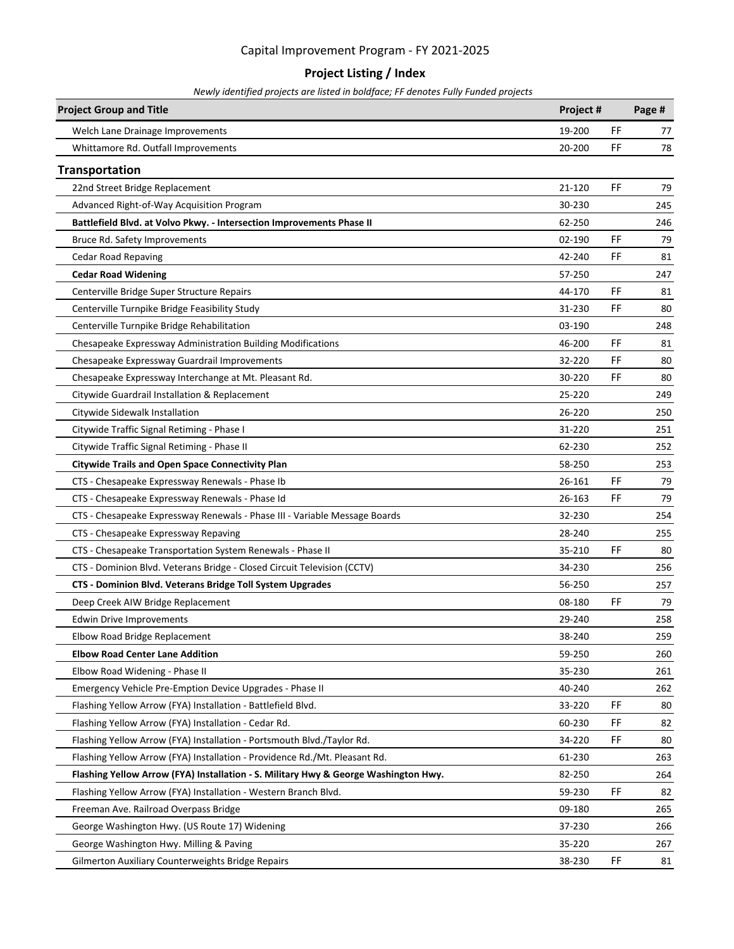### **Project Listing / Index**

| <b>Project Group and Title</b>                                                      | Project # |     | Page # |
|-------------------------------------------------------------------------------------|-----------|-----|--------|
| Welch Lane Drainage Improvements                                                    | 19-200    | FF  | 77     |
| Whittamore Rd. Outfall Improvements                                                 | 20-200    | FF  | 78     |
| <b>Transportation</b>                                                               |           |     |        |
| 22nd Street Bridge Replacement                                                      | 21-120    | FF. | 79     |
| Advanced Right-of-Way Acquisition Program                                           | 30-230    |     | 245    |
| Battlefield Blvd. at Volvo Pkwy. - Intersection Improvements Phase II               | 62-250    |     | 246    |
| Bruce Rd. Safety Improvements                                                       | 02-190    | FF  | 79     |
| <b>Cedar Road Repaving</b>                                                          | 42-240    | FF  | 81     |
| <b>Cedar Road Widening</b>                                                          | 57-250    |     | 247    |
| Centerville Bridge Super Structure Repairs                                          | 44-170    | FF  | 81     |
| Centerville Turnpike Bridge Feasibility Study                                       | 31-230    | FF  | 80     |
| Centerville Turnpike Bridge Rehabilitation                                          | 03-190    |     | 248    |
| Chesapeake Expressway Administration Building Modifications                         | 46-200    | FF  | 81     |
| Chesapeake Expressway Guardrail Improvements                                        | 32-220    | FF  | 80     |
| Chesapeake Expressway Interchange at Mt. Pleasant Rd.                               | 30-220    | FF  | 80     |
| Citywide Guardrail Installation & Replacement                                       | 25-220    |     | 249    |
| Citywide Sidewalk Installation                                                      | 26-220    |     | 250    |
| Citywide Traffic Signal Retiming - Phase I                                          | 31-220    |     | 251    |
| Citywide Traffic Signal Retiming - Phase II                                         | 62-230    |     | 252    |
| <b>Citywide Trails and Open Space Connectivity Plan</b>                             | 58-250    |     | 253    |
| CTS - Chesapeake Expressway Renewals - Phase Ib                                     | 26-161    | FF  | 79     |
| CTS - Chesapeake Expressway Renewals - Phase Id                                     | 26-163    | FF  | 79     |
| CTS - Chesapeake Expressway Renewals - Phase III - Variable Message Boards          | 32-230    |     | 254    |
| CTS - Chesapeake Expressway Repaving                                                | 28-240    |     | 255    |
| CTS - Chesapeake Transportation System Renewals - Phase II                          | 35-210    | FF  | 80     |
| CTS - Dominion Blvd. Veterans Bridge - Closed Circuit Television (CCTV)             | 34-230    |     | 256    |
| CTS - Dominion Blvd. Veterans Bridge Toll System Upgrades                           | 56-250    |     | 257    |
| Deep Creek AIW Bridge Replacement                                                   | 08-180    | FF  | 79     |
| <b>Edwin Drive Improvements</b>                                                     | 29-240    |     | 258    |
| Elbow Road Bridge Replacement                                                       | 38-240    |     | 259    |
| <b>Elbow Road Center Lane Addition</b>                                              | 59-250    |     | 260    |
| Elbow Road Widening - Phase II                                                      | 35-230    |     | 261    |
| Emergency Vehicle Pre-Emption Device Upgrades - Phase II                            | 40-240    |     | 262    |
| Flashing Yellow Arrow (FYA) Installation - Battlefield Blvd.                        | 33-220    | FF  | 80     |
| Flashing Yellow Arrow (FYA) Installation - Cedar Rd.                                | 60-230    | FF  | 82     |
| Flashing Yellow Arrow (FYA) Installation - Portsmouth Blvd./Taylor Rd.              | 34-220    | FF  | 80     |
| Flashing Yellow Arrow (FYA) Installation - Providence Rd./Mt. Pleasant Rd.          | 61-230    |     | 263    |
| Flashing Yellow Arrow (FYA) Installation - S. Military Hwy & George Washington Hwy. | 82-250    |     | 264    |
| Flashing Yellow Arrow (FYA) Installation - Western Branch Blvd.                     | 59-230    | FF  | 82     |
| Freeman Ave. Railroad Overpass Bridge                                               | 09-180    |     | 265    |
| George Washington Hwy. (US Route 17) Widening                                       | 37-230    |     | 266    |
| George Washington Hwy. Milling & Paving                                             | 35-220    |     | 267    |
| <b>Gilmerton Auxiliary Counterweights Bridge Repairs</b>                            | 38-230    | FF  | 81     |